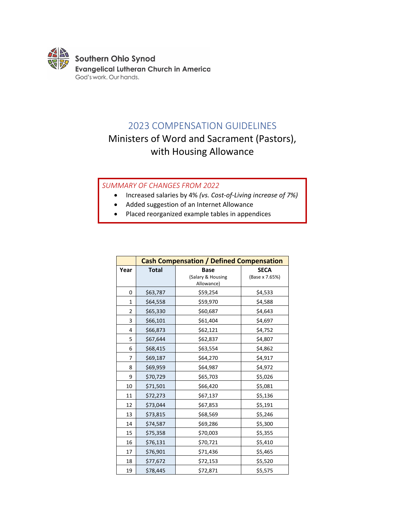

## 2023 COMPENSATION GUIDELINES

# Ministers of Word and Sacrament (Pastors), with Housing Allowance

## *SUMMARY OF CHANGES FROM 2022*

- Increased salaries by 4% *(vs. Cost-of-Living increase of 7%)*
- Added suggestion of an Internet Allowance
- Placed reorganized example tables in appendices

|              | <b>Cash Compensation / Defined Compensation</b> |                                                |                               |  |  |
|--------------|-------------------------------------------------|------------------------------------------------|-------------------------------|--|--|
| Year         | <b>Total</b>                                    | <b>Base</b><br>(Salary & Housing<br>Allowance) | <b>SECA</b><br>(Base x 7.65%) |  |  |
| 0            | \$63,787                                        | \$59,254                                       | \$4,533                       |  |  |
| $\mathbf{1}$ | \$64,558                                        | \$59,970                                       | \$4,588                       |  |  |
| 2            | \$65,330                                        | \$60,687                                       | \$4,643                       |  |  |
| 3            | \$66,101                                        | \$61,404                                       | \$4,697                       |  |  |
| 4            | \$66,873                                        | \$62,121                                       | \$4,752                       |  |  |
| 5            | \$67,644                                        | \$62,837                                       | \$4,807                       |  |  |
| 6            | \$68,415                                        | \$63,554                                       | \$4,862                       |  |  |
| 7            | \$69,187                                        | \$64,270                                       | \$4,917                       |  |  |
| 8            | \$69,959                                        | \$64,987                                       | \$4,972                       |  |  |
| 9            | \$70,729                                        | \$65,703                                       | \$5,026                       |  |  |
| 10           | \$71,501                                        | \$66,420                                       | \$5,081                       |  |  |
| 11           | \$72,273                                        | \$67,137                                       | \$5,136                       |  |  |
| 12           | \$73,044                                        | \$67,853                                       | \$5,191                       |  |  |
| 13           | \$73,815                                        | \$68,569                                       | \$5,246                       |  |  |
| 14           | \$74,587                                        | \$69,286                                       | \$5,300                       |  |  |
| 15           | \$75,358                                        | \$70,003                                       | \$5,355                       |  |  |
| 16           | \$76,131                                        | \$70,721                                       | \$5,410                       |  |  |
| 17           | \$76,901                                        | \$71,436                                       | \$5,465                       |  |  |
| 18           | \$77,672                                        | \$72,153                                       | \$5,520                       |  |  |
| 19           | \$78,445                                        | \$5,575                                        |                               |  |  |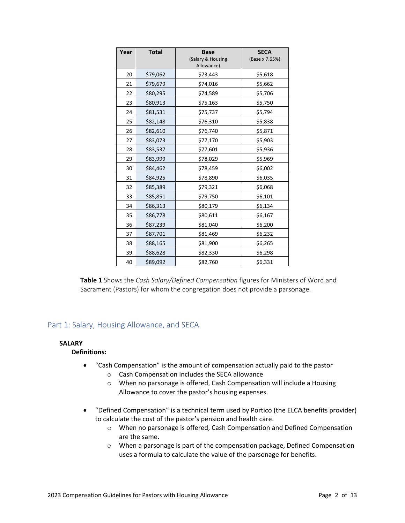| Year | <b>Total</b> | <b>Base</b><br>(Salary & Housing<br>Allowance) | <b>SECA</b><br>(Base x 7.65%) |
|------|--------------|------------------------------------------------|-------------------------------|
| 20   | \$79,062     | \$73,443                                       | \$5,618                       |
| 21   | \$79,679     | \$74,016                                       | \$5,662                       |
| 22   | \$80,295     | \$74,589                                       | \$5,706                       |
| 23   | \$80,913     | \$75,163                                       | \$5,750                       |
| 24   | \$81,531     | \$75,737                                       | \$5,794                       |
| 25   | \$82,148     | \$76,310                                       | \$5,838                       |
| 26   | \$82,610     | \$76,740                                       | \$5,871                       |
| 27   | \$83,073     | \$77,170                                       | \$5,903                       |
| 28   | \$83,537     | \$77,601                                       | \$5,936                       |
| 29   | \$83,999     | \$78,029                                       | \$5,969                       |
| 30   | \$84,462     | \$78,459                                       | \$6,002                       |
| 31   | \$84,925     | \$78,890                                       | \$6,035                       |
| 32   | \$85,389     | \$79,321                                       | \$6,068                       |
| 33   | \$85,851     | \$79,750                                       | \$6,101                       |
| 34   | \$86,313     | \$80,179                                       | \$6,134                       |
| 35   | \$86,778     | \$80,611                                       | \$6,167                       |
| 36   | \$87,239     | \$81,040                                       | \$6,200                       |
| 37   | \$87,701     | \$81,469                                       | \$6,232                       |
| 38   | \$88,165     | \$81,900                                       | \$6,265                       |
| 39   | \$88,628     | \$82,330                                       | \$6,298                       |
| 40   | \$89,092     | \$82,760                                       | \$6,331                       |

**Table 1** Shows the *Cash Salary/Defined Compensation* figures for Ministers of Word and Sacrament (Pastors) for whom the congregation does not provide a parsonage.

## Part 1: Salary, Housing Allowance, and SECA

## **SALARY**

## **Definitions:**

- "Cash Compensation" is the amount of compensation actually paid to the pastor
	- o Cash Compensation includes the SECA allowance
	- o When no parsonage is offered, Cash Compensation will include a Housing Allowance to cover the pastor's housing expenses.
- "Defined Compensation" is a technical term used by Portico (the ELCA benefits provider) to calculate the cost of the pastor's pension and health care.
	- o When no parsonage is offered, Cash Compensation and Defined Compensation are the same.
	- o When a parsonage is part of the compensation package, Defined Compensation uses a formula to calculate the value of the parsonage for benefits.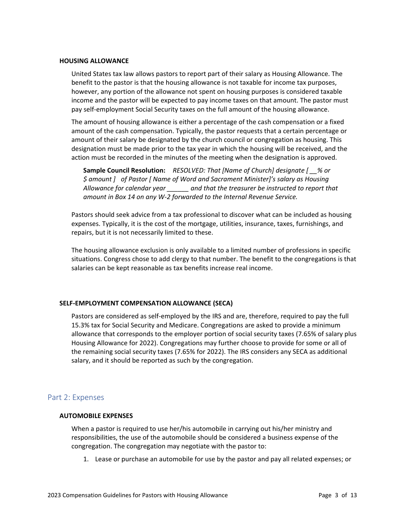#### **HOUSING ALLOWANCE**

United States tax law allows pastors to report part of their salary as Housing Allowance. The benefit to the pastor is that the housing allowance is not taxable for income tax purposes, however, any portion of the allowance not spent on housing purposes is considered taxable income and the pastor will be expected to pay income taxes on that amount. The pastor must pay self-employment Social Security taxes on the full amount of the housing allowance.

The amount of housing allowance is either a percentage of the cash compensation or a fixed amount of the cash compensation. Typically, the pastor requests that a certain percentage or amount of their salary be designated by the church council or congregation as housing. This designation must be made prior to the tax year in which the housing will be received, and the action must be recorded in the minutes of the meeting when the designation is approved.

**Sample Council Resolution:** *RESOLVED: That [Name of Church] designate [ \_\_% or \$ amount ] of Pastor [ Name of Word and Sacrament Minister]'s salary as Housing Allowance for calendar year \_\_\_\_\_\_ and that the treasurer be instructed to report that amount in Box 14 on any W-2 forwarded to the Internal Revenue Service.*

Pastors should seek advice from a tax professional to discover what can be included as housing expenses. Typically, it is the cost of the mortgage, utilities, insurance, taxes, furnishings, and repairs, but it is not necessarily limited to these.

The housing allowance exclusion is only available to a limited number of professions in specific situations. Congress chose to add clergy to that number. The benefit to the congregations is that salaries can be kept reasonable as tax benefits increase real income.

#### **SELF-EMPLOYMENT COMPENSATION ALLOWANCE (SECA)**

Pastors are considered as self-employed by the IRS and are, therefore, required to pay the full 15.3% tax for Social Security and Medicare. Congregations are asked to provide a minimum allowance that corresponds to the employer portion of social security taxes (7.65% of salary plus Housing Allowance for 2022). Congregations may further choose to provide for some or all of the remaining social security taxes (7.65% for 2022). The IRS considers any SECA as additional salary, and it should be reported as such by the congregation.

## Part 2: Expenses

#### **AUTOMOBILE EXPENSES**

When a pastor is required to use her/his automobile in carrying out his/her ministry and responsibilities, the use of the automobile should be considered a business expense of the congregation. The congregation may negotiate with the pastor to:

1. Lease or purchase an automobile for use by the pastor and pay all related expenses; or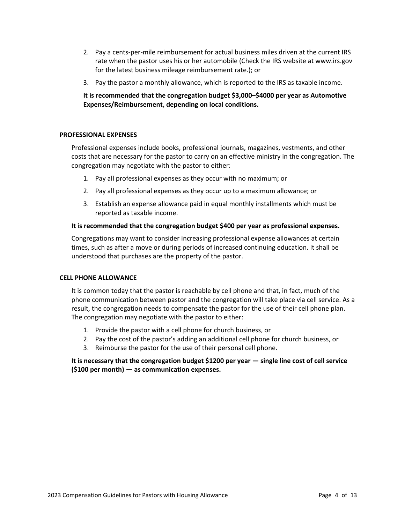- 2. Pay a cents-per-mile reimbursement for actual business miles driven at the current IRS rate when the pastor uses his or her automobile (Check the IRS website at www.irs.gov for the latest business mileage reimbursement rate.); or
- 3. Pay the pastor a monthly allowance, which is reported to the IRS as taxable income.

**It is recommended that the congregation budget \$3,000–\$4000 per year as Automotive Expenses/Reimbursement, depending on local conditions.**

#### **PROFESSIONAL EXPENSES**

Professional expenses include books, professional journals, magazines, vestments, and other costs that are necessary for the pastor to carry on an effective ministry in the congregation. The congregation may negotiate with the pastor to either:

- 1. Pay all professional expenses as they occur with no maximum; or
- 2. Pay all professional expenses as they occur up to a maximum allowance; or
- 3. Establish an expense allowance paid in equal monthly installments which must be reported as taxable income.

#### **It is recommended that the congregation budget \$400 per year as professional expenses.**

Congregations may want to consider increasing professional expense allowances at certain times, such as after a move or during periods of increased continuing education. It shall be understood that purchases are the property of the pastor.

#### **CELL PHONE ALLOWANCE**

It is common today that the pastor is reachable by cell phone and that, in fact, much of the phone communication between pastor and the congregation will take place via cell service. As a result, the congregation needs to compensate the pastor for the use of their cell phone plan. The congregation may negotiate with the pastor to either:

- 1. Provide the pastor with a cell phone for church business, or
- 2. Pay the cost of the pastor's adding an additional cell phone for church business, or
- 3. Reimburse the pastor for the use of their personal cell phone.

## **It is necessary that the congregation budget \$1200 per year — single line cost of cell service (\$100 per month) — as communication expenses.**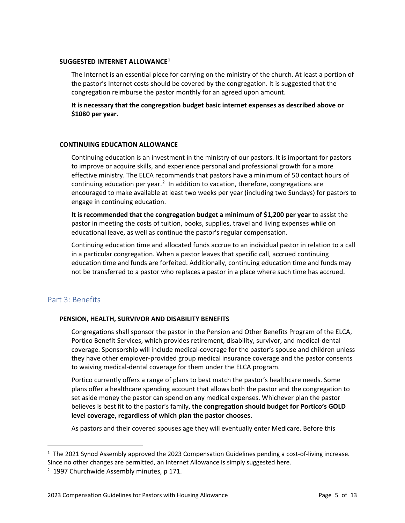## **SUGGESTED INTERNET ALLOWANCE[1](#page-4-0)**

The Internet is an essential piece for carrying on the ministry of the church. At least a portion of the pastor's Internet costs should be covered by the congregation. It is suggested that the congregation reimburse the pastor monthly for an agreed upon amount.

**It is necessary that the congregation budget basic internet expenses as described above or \$1080 per year.**

## **CONTINUING EDUCATION ALLOWANCE**

Continuing education is an investment in the ministry of our pastors. It is important for pastors to improve or acquire skills, and experience personal and professional growth for a more effective ministry. The ELCA recommends that pastors have a minimum of 50 contact hours of continuing education per year. $<sup>2</sup>$  $<sup>2</sup>$  $<sup>2</sup>$  In addition to vacation, therefore, congregations are</sup> encouraged to make available at least two weeks per year (including two Sundays) for pastors to engage in continuing education.

**It is recommended that the congregation budget a minimum of \$1,200 per year** to assist the pastor in meeting the costs of tuition, books, supplies, travel and living expenses while on educational leave, as well as continue the pastor's regular compensation.

Continuing education time and allocated funds accrue to an individual pastor in relation to a call in a particular congregation. When a pastor leaves that specific call, accrued continuing education time and funds are forfeited. Additionally, continuing education time and funds may not be transferred to a pastor who replaces a pastor in a place where such time has accrued.

## Part 3: Benefits

 $\overline{a}$ 

## **PENSION, HEALTH, SURVIVOR AND DISABILITY BENEFITS**

Congregations shall sponsor the pastor in the Pension and Other Benefits Program of the ELCA, Portico Benefit Services, which provides retirement, disability, survivor, and medical-dental coverage. Sponsorship will include medical-coverage for the pastor's spouse and children unless they have other employer-provided group medical insurance coverage and the pastor consents to waiving medical-dental coverage for them under the ELCA program.

Portico currently offers a range of plans to best match the pastor's healthcare needs. Some plans offer a healthcare spending account that allows both the pastor and the congregation to set aside money the pastor can spend on any medical expenses. Whichever plan the pastor believes is best fit to the pastor's family, **the congregation should budget for Portico's GOLD level coverage, regardless of which plan the pastor chooses.**

As pastors and their covered spouses age they will eventually enter Medicare. Before this

<span id="page-4-0"></span><sup>&</sup>lt;sup>1</sup> The 2021 Synod Assembly approved the 2023 Compensation Guidelines pending a cost-of-living increase. Since no other changes are permitted, an Internet Allowance is simply suggested here.

<span id="page-4-1"></span><sup>&</sup>lt;sup>2</sup> 1997 Churchwide Assembly minutes, p 171.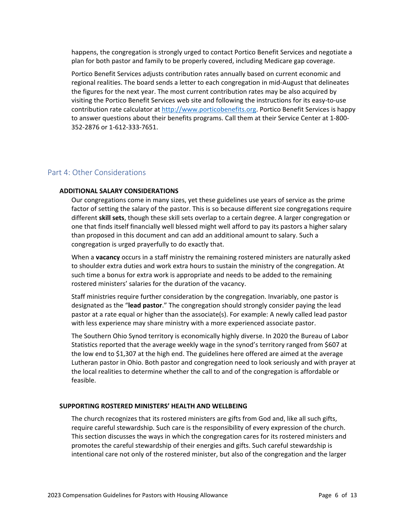happens, the congregation is strongly urged to contact Portico Benefit Services and negotiate a plan for both pastor and family to be properly covered, including Medicare gap coverage.

Portico Benefit Services adjusts contribution rates annually based on current economic and regional realities. The board sends a letter to each congregation in mid-August that delineates the figures for the next year. The most current contribution rates may be also acquired by visiting the Portico Benefit Services web site and following the instructions for its easy-to-use contribution rate calculator at [http://www.porticobenefits.org.](http://www.porticobenefits.org/) Portico Benefit Services is happy to answer questions about their benefits programs. Call them at their Service Center at 1-800- 352-2876 or 1-612-333-7651.

## Part 4: Other Considerations

#### **ADDITIONAL SALARY CONSIDERATIONS**

Our congregations come in many sizes, yet these guidelines use years of service as the prime factor of setting the salary of the pastor. This is so because different size congregations require different **skill sets**, though these skill sets overlap to a certain degree. A larger congregation or one that finds itself financially well blessed might well afford to pay its pastors a higher salary than proposed in this document and can add an additional amount to salary. Such a congregation is urged prayerfully to do exactly that.

When a **vacancy** occurs in a staff ministry the remaining rostered ministers are naturally asked to shoulder extra duties and work extra hours to sustain the ministry of the congregation. At such time a bonus for extra work is appropriate and needs to be added to the remaining rostered ministers' salaries for the duration of the vacancy.

Staff ministries require further consideration by the congregation. Invariably, one pastor is designated as the "**lead pastor**." The congregation should strongly consider paying the lead pastor at a rate equal or higher than the associate(s). For example: A newly called lead pastor with less experience may share ministry with a more experienced associate pastor.

The Southern Ohio Synod territory is economically highly diverse. In 2020 the Bureau of Labor Statistics reported that the average weekly wage in the synod's territory ranged from \$607 at the low end to \$1,307 at the high end. The guidelines here offered are aimed at the average Lutheran pastor in Ohio. Both pastor and congregation need to look seriously and with prayer at the local realities to determine whether the call to and of the congregation is affordable or feasible.

#### **SUPPORTING ROSTERED MINISTERS' HEALTH AND WELLBEING**

The church recognizes that its rostered ministers are gifts from God and, like all such gifts, require careful stewardship. Such care is the responsibility of every expression of the church. This section discusses the ways in which the congregation cares for its rostered ministers and promotes the careful stewardship of their energies and gifts. Such careful stewardship is intentional care not only of the rostered minister, but also of the congregation and the larger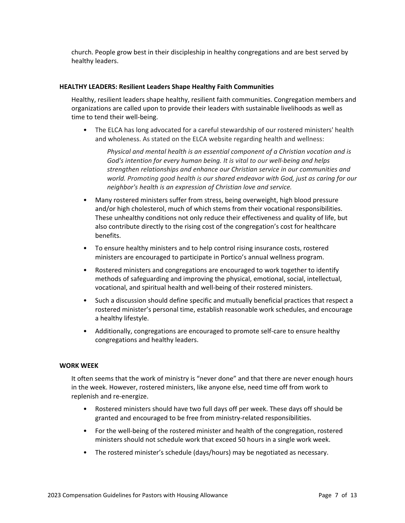church. People grow best in their discipleship in healthy congregations and are best served by healthy leaders.

#### **HEALTHY LEADERS: Resilient Leaders Shape Healthy Faith Communities**

Healthy, resilient leaders shape healthy, resilient faith communities. Congregation members and organizations are called upon to provide their leaders with sustainable livelihoods as well as time to tend their well-being.

• The ELCA has long advocated for a careful stewardship of our rostered ministers' health and wholeness. As stated on the ELCA website regarding health and wellness:

*Physical and mental health is an essential component of a Christian vocation and is God's intention for every human being. It is vital to our well-being and helps strengthen relationships and enhance our Christian service in our communities and world. Promoting good health is our shared endeavor with God, just as caring for our neighbor's health is an expression of Christian love and service.*

- Many rostered ministers suffer from stress, being overweight, high blood pressure and/or high cholesterol, much of which stems from their vocational responsibilities. These unhealthy conditions not only reduce their effectiveness and quality of life, but also contribute directly to the rising cost of the congregation's cost for healthcare benefits.
- To ensure healthy ministers and to help control rising insurance costs, rostered ministers are encouraged to participate in Portico's annual wellness program.
- Rostered ministers and congregations are encouraged to work together to identify methods of safeguarding and improving the physical, emotional, social, intellectual, vocational, and spiritual health and well-being of their rostered ministers.
- Such a discussion should define specific and mutually beneficial practices that respect a rostered minister's personal time, establish reasonable work schedules, and encourage a healthy lifestyle.
- Additionally, congregations are encouraged to promote self-care to ensure healthy congregations and healthy leaders.

#### **WORK WEEK**

It often seems that the work of ministry is "never done" and that there are never enough hours in the week. However, rostered ministers, like anyone else, need time off from work to replenish and re-energize.

- Rostered ministers should have two full days off per week. These days off should be granted and encouraged to be free from ministry-related responsibilities.
- For the well-being of the rostered minister and health of the congregation, rostered ministers should not schedule work that exceed 50 hours in a single work week.
- The rostered minister's schedule (days/hours) may be negotiated as necessary.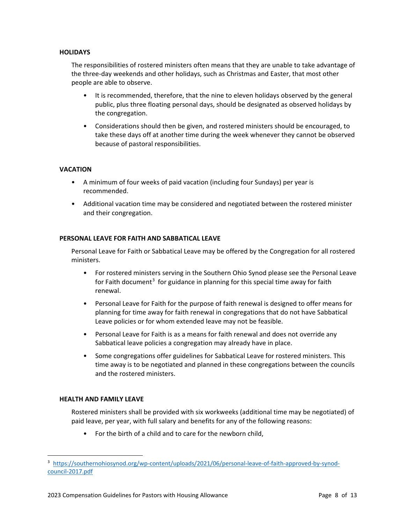## **HOLIDAYS**

The responsibilities of rostered ministers often means that they are unable to take advantage of the three-day weekends and other holidays, such as Christmas and Easter, that most other people are able to observe.

- It is recommended, therefore, that the nine to eleven holidays observed by the general public, plus three floating personal days, should be designated as observed holidays by the congregation.
- Considerations should then be given, and rostered ministers should be encouraged, to take these days off at another time during the week whenever they cannot be observed because of pastoral responsibilities.

## **VACATION**

- A minimum of four weeks of paid vacation (including four Sundays) per year is recommended.
- Additional vacation time may be considered and negotiated between the rostered minister and their congregation.

#### **PERSONAL LEAVE FOR FAITH AND SABBATICAL LEAVE**

Personal Leave for Faith or Sabbatical Leave may be offered by the Congregation for all rostered ministers.

- For rostered ministers serving in the Southern Ohio Synod please see the Personal Leave for Faith document<sup>[3](#page-7-0)</sup> for guidance in planning for this special time away for faith renewal.
- Personal Leave for Faith for the purpose of faith renewal is designed to offer means for planning for time away for faith renewal in congregations that do not have Sabbatical Leave policies or for whom extended leave may not be feasible.
- Personal Leave for Faith is as a means for faith renewal and does not override any Sabbatical leave policies a congregation may already have in place.
- Some congregations offer guidelines for Sabbatical Leave for rostered ministers. This time away is to be negotiated and planned in these congregations between the councils and the rostered ministers.

## **HEALTH AND FAMILY LEAVE**

 $\overline{a}$ 

Rostered ministers shall be provided with six workweeks (additional time may be negotiated) of paid leave, per year, with full salary and benefits for any of the following reasons:

• For the birth of a child and to care for the newborn child,

<span id="page-7-0"></span><sup>3</sup> [https://southernohiosynod.org/wp-content/uploads/2021/06/personal-leave-of-faith-approved-by-synod](https://southernohiosynod.org/wp-content/uploads/2021/06/personal-leave-of-faith-approved-by-synod-council-2017.pdf)[council-2017.pdf](https://southernohiosynod.org/wp-content/uploads/2021/06/personal-leave-of-faith-approved-by-synod-council-2017.pdf)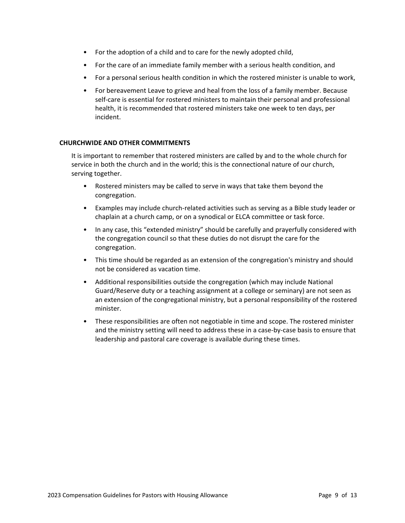- For the adoption of a child and to care for the newly adopted child,
- For the care of an immediate family member with a serious health condition, and
- For a personal serious health condition in which the rostered minister is unable to work,
- For bereavement Leave to grieve and heal from the loss of a family member. Because self-care is essential for rostered ministers to maintain their personal and professional health, it is recommended that rostered ministers take one week to ten days, per incident.

## **CHURCHWIDE AND OTHER COMMITMENTS**

It is important to remember that rostered ministers are called by and to the whole church for service in both the church and in the world; this is the connectional nature of our church, serving together.

- Rostered ministers may be called to serve in ways that take them beyond the congregation.
- Examples may include church-related activities such as serving as a Bible study leader or chaplain at a church camp, or on a synodical or ELCA committee or task force.
- In any case, this "extended ministry" should be carefully and prayerfully considered with the congregation council so that these duties do not disrupt the care for the congregation.
- This time should be regarded as an extension of the congregation's ministry and should not be considered as vacation time.
- Additional responsibilities outside the congregation (which may include National Guard/Reserve duty or a teaching assignment at a college or seminary) are not seen as an extension of the congregational ministry, but a personal responsibility of the rostered minister.
- These responsibilities are often not negotiable in time and scope. The rostered minister and the ministry setting will need to address these in a case-by-case basis to ensure that leadership and pastoral care coverage is available during these times.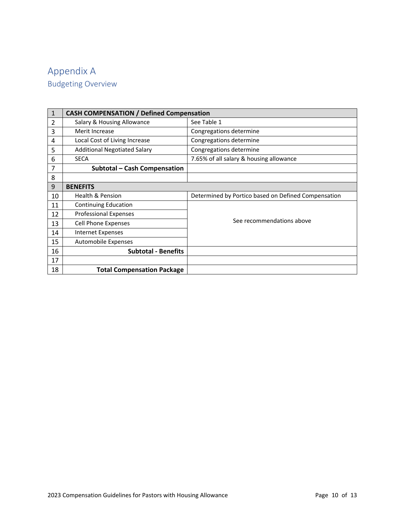# Appendix A Budgeting Overview

| $\mathbf{1}$   | <b>CASH COMPENSATION / Defined Compensation</b> |                                                     |  |  |  |
|----------------|-------------------------------------------------|-----------------------------------------------------|--|--|--|
| $\overline{2}$ | Salary & Housing Allowance                      | See Table 1                                         |  |  |  |
| 3              | Merit Increase                                  | Congregations determine                             |  |  |  |
| 4              | Local Cost of Living Increase                   | Congregations determine                             |  |  |  |
| 5              | <b>Additional Negotiated Salary</b>             | Congregations determine                             |  |  |  |
| 6              | <b>SECA</b>                                     | 7.65% of all salary & housing allowance             |  |  |  |
| 7              | <b>Subtotal - Cash Compensation</b>             |                                                     |  |  |  |
| 8              |                                                 |                                                     |  |  |  |
| 9              | <b>BENEFITS</b>                                 |                                                     |  |  |  |
| 10             | <b>Health &amp; Pension</b>                     | Determined by Portico based on Defined Compensation |  |  |  |
| 11             | <b>Continuing Education</b>                     |                                                     |  |  |  |
| 12             | <b>Professional Expenses</b>                    |                                                     |  |  |  |
| 13             | <b>Cell Phone Expenses</b>                      | See recommendations above                           |  |  |  |
| 14             | <b>Internet Expenses</b>                        |                                                     |  |  |  |
| 15             | Automobile Expenses                             |                                                     |  |  |  |
| 16             | <b>Subtotal - Benefits</b>                      |                                                     |  |  |  |
| 17             |                                                 |                                                     |  |  |  |
| 18             | <b>Total Compensation Package</b>               |                                                     |  |  |  |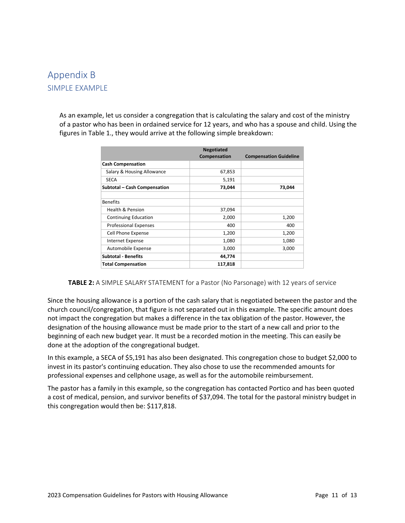## Appendix B SIMPLE EXAMPLE

As an example, let us consider a congregation that is calculating the salary and cost of the ministry of a pastor who has been in ordained service for 12 years, and who has a spouse and child. Using the figures in Table 1., they would arrive at the following simple breakdown:

| <b>Negotiated</b>            |              |                               |  |
|------------------------------|--------------|-------------------------------|--|
|                              | Compensation | <b>Compensation Guideline</b> |  |
| <b>Cash Compensation</b>     |              |                               |  |
| Salary & Housing Allowance   | 67,853       |                               |  |
| <b>SECA</b>                  | 5,191        |                               |  |
| Subtotal - Cash Compensation | 73,044       | 73,044                        |  |
| <b>Benefits</b>              |              |                               |  |
| <b>Health &amp; Pension</b>  | 37,094       |                               |  |
| <b>Continuing Education</b>  | 2,000        | 1,200                         |  |
| <b>Professional Expenses</b> | 400          | 400                           |  |
| Cell Phone Expense           | 1,200        | 1,200                         |  |
| <b>Internet Expense</b>      | 1,080        | 1,080                         |  |
| Automobile Expense           | 3,000        | 3,000                         |  |
| <b>Subtotal - Benefits</b>   | 44,774       |                               |  |
| <b>Total Compensation</b>    | 117,818      |                               |  |

**TABLE 2:** A SIMPLE SALARY STATEMENT for a Pastor (No Parsonage) with 12 years of service

Since the housing allowance is a portion of the cash salary that is negotiated between the pastor and the church council/congregation, that figure is not separated out in this example. The specific amount does not impact the congregation but makes a difference in the tax obligation of the pastor. However, the designation of the housing allowance must be made prior to the start of a new call and prior to the beginning of each new budget year. It must be a recorded motion in the meeting. This can easily be done at the adoption of the congregational budget.

In this example, a SECA of \$5,191 has also been designated. This congregation chose to budget \$2,000 to invest in its pastor's continuing education. They also chose to use the recommended amounts for professional expenses and cellphone usage, as well as for the automobile reimbursement.

The pastor has a family in this example, so the congregation has contacted Portico and has been quoted a cost of medical, pension, and survivor benefits of \$37,094. The total for the pastoral ministry budget in this congregation would then be: \$117,818.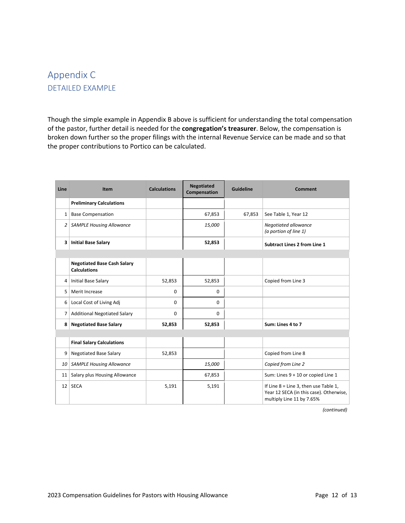## Appendix C DETAILED EXAMPLE

Though the simple example in Appendix B above is sufficient for understanding the total compensation of the pastor, further detail is needed for the **congregation's treasurer**. Below, the compensation is broken down further so the proper filings with the internal Revenue Service can be made and so that the proper contributions to Portico can be calculated.

| Line            | <b>Item</b>                                               | <b>Calculations</b> | <b>Negotiated</b><br>Compensation | Guideline | Comment                                                                                                         |
|-----------------|-----------------------------------------------------------|---------------------|-----------------------------------|-----------|-----------------------------------------------------------------------------------------------------------------|
|                 | <b>Preliminary Calculations</b>                           |                     |                                   |           |                                                                                                                 |
|                 | $1$   Base Compensation                                   |                     | 67,853                            | 67,853    | See Table 1, Year 12                                                                                            |
|                 | 2   SAMPLE Housing Allowance                              |                     | 15,000                            |           | Negotiated allowance<br>(a portion of line 1)                                                                   |
| з               | <b>Initial Base Salary</b>                                |                     | 52,853                            |           | <b>Subtract Lines 2 from Line 1</b>                                                                             |
|                 |                                                           |                     |                                   |           |                                                                                                                 |
|                 | <b>Negotiated Base Cash Salary</b><br><b>Calculations</b> |                     |                                   |           |                                                                                                                 |
| 4               | Initial Base Salary                                       | 52,853              | 52,853                            |           | Copied from Line 3                                                                                              |
| 5               | Merit Increase                                            | $\Omega$            | $\Omega$                          |           |                                                                                                                 |
| $6 \mid$        | Local Cost of Living Adj                                  | $\Omega$            | $\Omega$                          |           |                                                                                                                 |
| 7               | <b>Additional Negotiated Salary</b>                       | 0                   | $\Omega$                          |           |                                                                                                                 |
| 8 <sup>1</sup>  | <b>Negotiated Base Salary</b>                             | 52,853              | 52,853                            |           | Sum: Lines 4 to 7                                                                                               |
|                 |                                                           |                     |                                   |           |                                                                                                                 |
|                 | <b>Final Salary Calculations</b>                          |                     |                                   |           |                                                                                                                 |
| 9               | <b>Negotiated Base Salary</b>                             | 52,853              |                                   |           | Copied from Line 8                                                                                              |
| 10 <sup>1</sup> | <b>SAMPLE Housing Allowance</b>                           |                     | 15,000                            |           | Copied from Line 2                                                                                              |
| 11              | Salary plus Housing Allowance                             |                     | 67,853                            |           | Sum: Lines 9 + 10 or copied Line 1                                                                              |
| 12              | <b>SECA</b>                                               | 5,191               | 5,191                             |           | If Line $8 =$ Line 3, then use Table 1,<br>Year 12 SECA (in this case). Otherwise,<br>multiply Line 11 by 7.65% |

*(continued)*